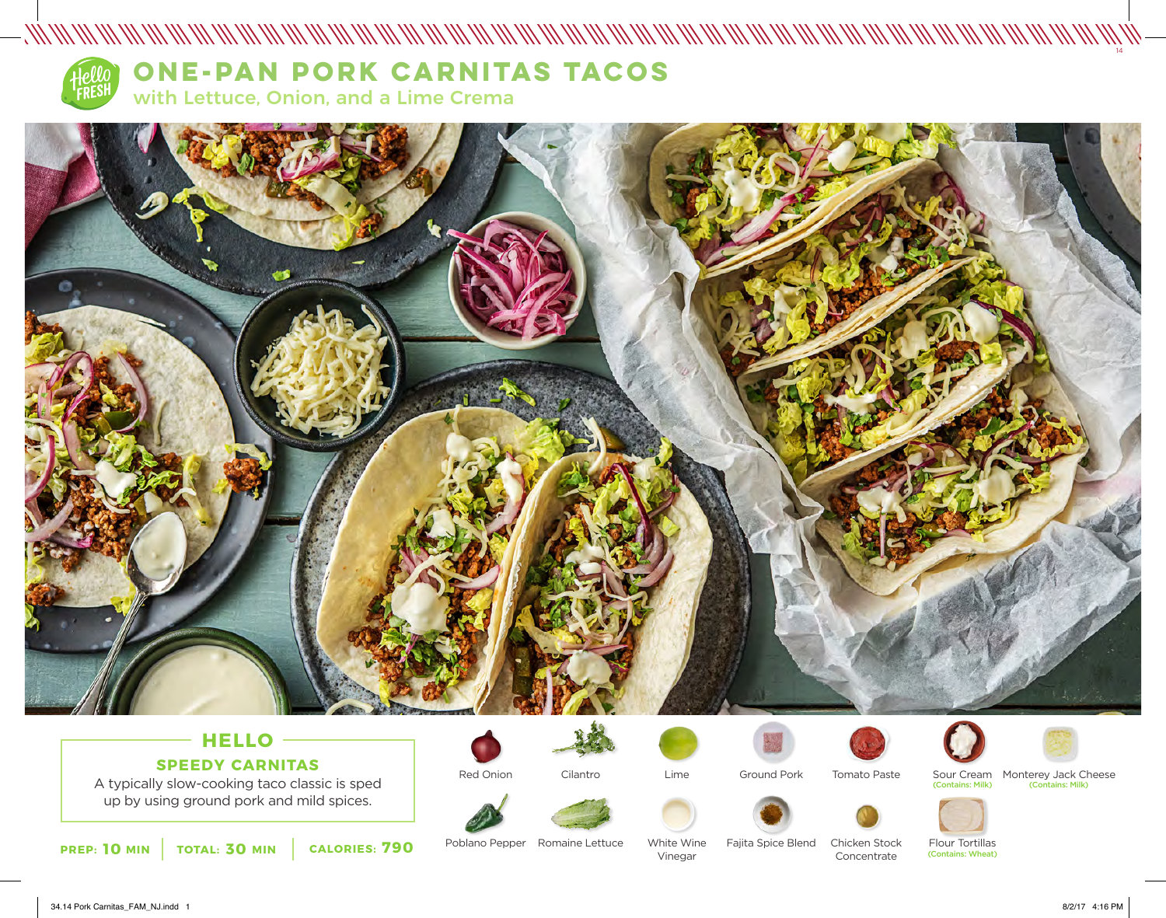

# **HELLO SPEEDY CARNITAS**

A typically slow-cooking taco classic is sped up by using ground pork and mild spices.



Red Onion

Cilantro





Ground Pork







Poblano Pepper Romaine Lettuce

White Wine Vinegar

Fajita Spice Blend Chicken Stock Concentrate

Flour Tortillas (Contains: Wheat)

34.14 Pork Carnitas\_FAM\_NJ.indd 1 8/2/17 4:16 PM